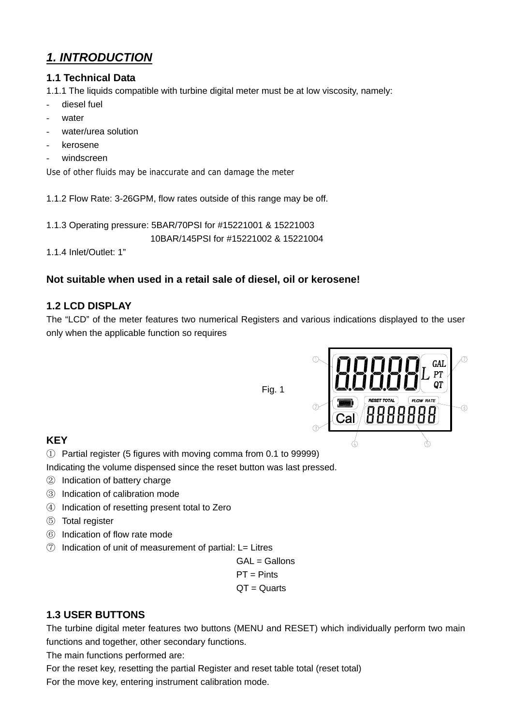# *1. INTRODUCTION*

#### **1.1 Technical Data**

1.1.1 The liquids compatible with turbine digital meter must be at low viscosity, namely:

- diesel fuel
- water
- water/urea solution
- kerosene
- windscreen

Use of other fluids may be inaccurate and can damage the meter

1.1.2 Flow Rate: 3-26GPM, flow rates outside of this range may be off.

1.1.3 Operating pressure: 5BAR/70PSI for #15221001 & 15221003

10BAR/145PSI for #15221002 & 15221004

1.1.4 Inlet/Outlet: 1"

### **Not suitable when used in a retail sale of diesel, oil or kerosene!**

#### **1.2 LCD DISPLAY**

The "LCD" of the meter features two numerical Registers and various indications displayed to the user only when the applicable function so requires





## **KEY**

① Partial register (5 figures with moving comma from 0.1 to 99999)

Indicating the volume dispensed since the reset button was last pressed.

- ② Indication of battery charge
- ③ Indication of calibration mode
- ④ Indication of resetting present total to Zero
- ⑤ Total register
- ⑥ Indication of flow rate mode
- ⑦ Indication of unit of measurement of partial: L= Litres

 GAL = Gallons PT = Pints QT = Quarts

#### **1.3 USER BUTTONS**

The turbine digital meter features two buttons (MENU and RESET) which individually perform two main functions and together, other secondary functions.

The main functions performed are:

For the reset key, resetting the partial Register and reset table total (reset total) For the move key, entering instrument calibration mode.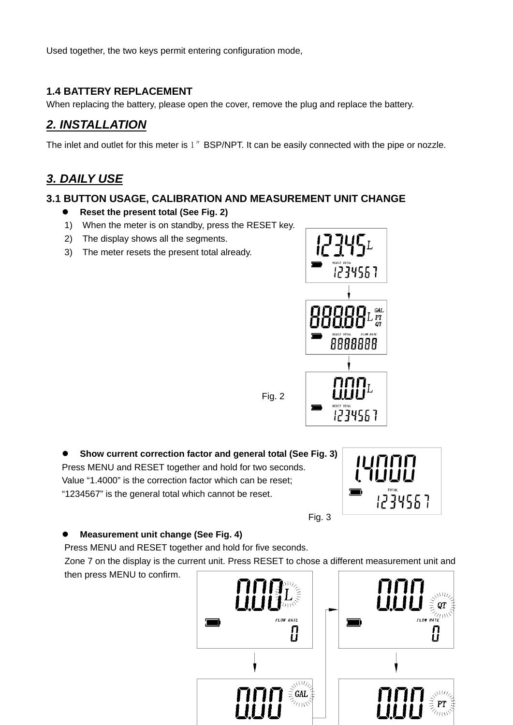Used together, the two keys permit entering configuration mode,

### **1.4 BATTERY REPLACEMENT**

When replacing the battery, please open the cover, remove the plug and replace the battery.

# *2. INSTALLATION*

The inlet and outlet for this meter is 1" BSP/NPT. It can be easily connected with the pipe or nozzle.

## *3. DAILY USE*

#### **3.1 BUTTON USAGE, CALIBRATION AND MEASUREMENT UNIT CHANGE**

#### **•** Reset the present total (See Fig. 2)

- 1) When the meter is on standby, press the RESET key.
- 2) The display shows all the segments.
- 3) The meter resets the present total already.



● Show current correction factor and general total (See Fig. 3) Press MENU and RESET together and hold for two seconds. Value "1.4000" is the correction factor which can be reset; "1234567" is the general total which cannot be reset.



**Measurement unit change (See Fig. 4)** 

Press MENU and RESET together and hold for five seconds.

 Zone 7 on the display is the current unit. Press RESET to chose a different measurement unit and then press MENU to confirm.

Fig. 2



Fig. 3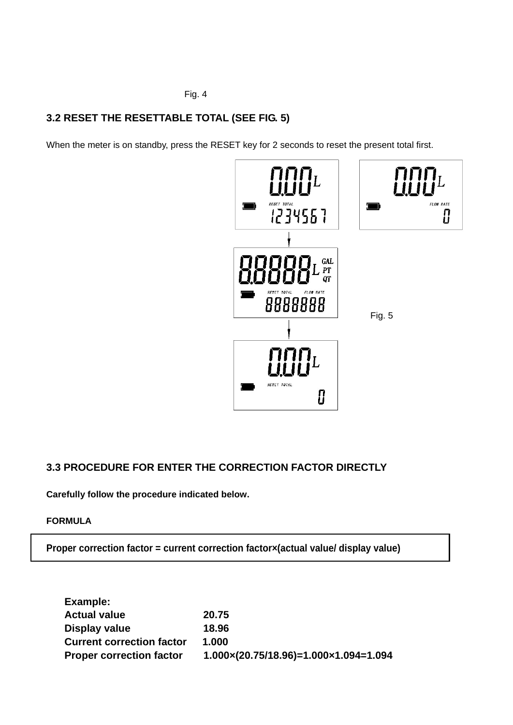Fig. 4

## **3.2 RESET THE RESETTABLE TOTAL (SEE FIG. 5)**

When the meter is on standby, press the RESET key for 2 seconds to reset the present total first.



## **3.3 PROCEDURE FOR ENTER THE CORRECTION FACTOR DIRECTLY**

**Carefully follow the procedure indicated below.** 

#### **FORMULA**

**Proper correction factor = current correction factor×(actual value/ display value)** 

| Example:                         |                                                           |
|----------------------------------|-----------------------------------------------------------|
| <b>Actual value</b>              | 20.75                                                     |
| Display value                    | 18.96                                                     |
| <b>Current correction factor</b> | 1.000                                                     |
| <b>Proper correction factor</b>  | $1.000 \times (20.75/18.96) = 1.000 \times 1.094 = 1.094$ |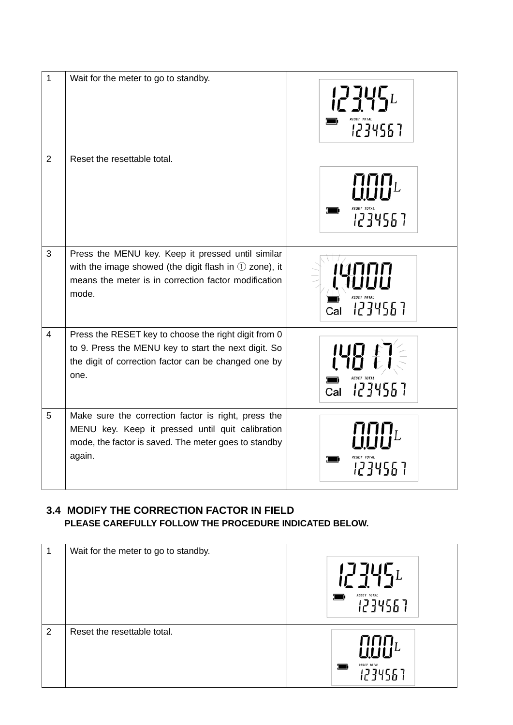| $\mathbf{1}$   | Wait for the meter to go to standby.                                                                                                                                            | 1234567        |
|----------------|---------------------------------------------------------------------------------------------------------------------------------------------------------------------------------|----------------|
| $\overline{2}$ | Reset the resettable total.                                                                                                                                                     | 1234567        |
| 3              | Press the MENU key. Keep it pressed until similar<br>with the image showed (the digit flash in $(1)$ zone), it<br>means the meter is in correction factor modification<br>mode. | 1234567        |
| $\overline{4}$ | Press the RESET key to choose the right digit from 0<br>to 9. Press the MENU key to start the next digit. So<br>the digit of correction factor can be changed one by<br>one.    | 1234567<br>Cal |
| 5              | Make sure the correction factor is right, press the<br>MENU key. Keep it pressed until quit calibration<br>mode, the factor is saved. The meter goes to standby<br>again.       | 12345          |

## **3.4 MODIFY THE CORRECTION FACTOR IN FIELD PLEASE CAREFULLY FOLLOW THE PROCEDURE INDICATED BELOW.**

| 1 | Wait for the meter to go to standby. | $1774\mathsf{G}_L$<br><b>RESET TOTAL</b><br>.234567 |
|---|--------------------------------------|-----------------------------------------------------|
| 2 | Reset the resettable total.          | RESET TOTAL                                         |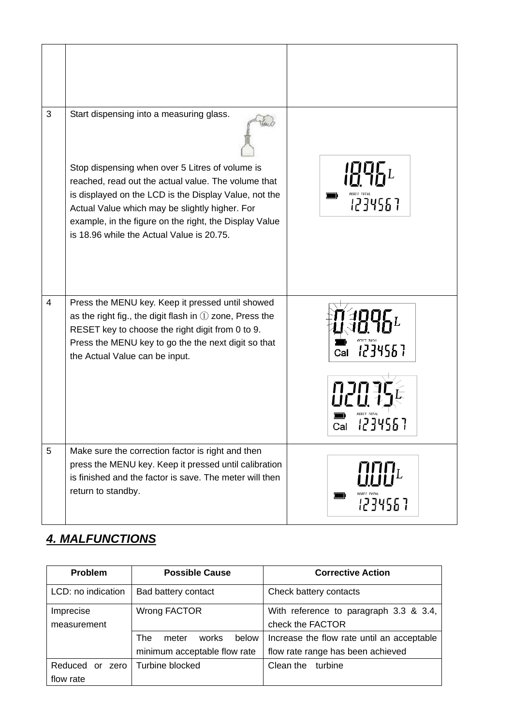| 3              | Start dispensing into a measuring glass.<br>Stop dispensing when over 5 Litres of volume is<br>reached, read out the actual value. The volume that<br>is displayed on the LCD is the Display Value, not the<br>Actual Value which may be slightly higher. For<br>example, in the figure on the right, the Display Value<br>is 18.96 while the Actual Value is 20.75. | <b>RESET TOTAL</b><br>1234567 |
|----------------|----------------------------------------------------------------------------------------------------------------------------------------------------------------------------------------------------------------------------------------------------------------------------------------------------------------------------------------------------------------------|-------------------------------|
| $\overline{4}$ | Press the MENU key. Keep it pressed until showed<br>as the right fig., the digit flash in $\mathbb D$ zone, Press the<br>RESET key to choose the right digit from 0 to 9.<br>Press the MENU key to go the the next digit so that<br>the Actual Value can be input.                                                                                                   | 1234567<br>Cal<br>Cal         |
| 5              | Make sure the correction factor is right and then<br>press the MENU key. Keep it pressed until calibration<br>is finished and the factor is save. The meter will then<br>return to standby.                                                                                                                                                                          | 1234567                       |

# *4. MALFUNCTIONS*

| <b>Problem</b>        | <b>Possible Cause</b>          | <b>Corrective Action</b>                   |  |
|-----------------------|--------------------------------|--------------------------------------------|--|
| LCD: no indication    | Bad battery contact            | Check battery contacts                     |  |
| Imprecise             | Wrong FACTOR                   | With reference to paragraph 3.3 & 3.4,     |  |
| measurement           |                                | check the FACTOR                           |  |
|                       | below<br>The<br>works<br>meter | Increase the flow rate until an acceptable |  |
|                       | minimum acceptable flow rate   | flow rate range has been achieved          |  |
| Reduced<br>zero<br>or | Turbine blocked                | Clean the<br>turbine                       |  |
| flow rate             |                                |                                            |  |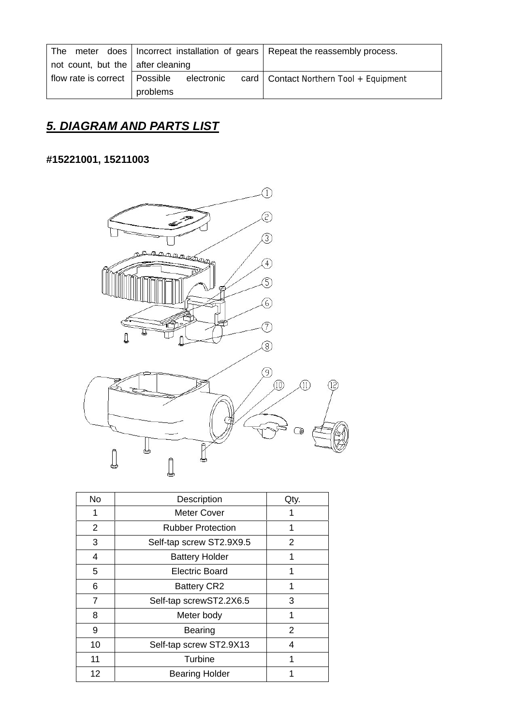|                                           |          |            | The meter does   Incorrect installation of gears   Repeat the reassembly process. |
|-------------------------------------------|----------|------------|-----------------------------------------------------------------------------------|
| not count, but the $\vert$ after cleaning |          |            |                                                                                   |
| flow rate is correct   Possible           |          | electronic | card   Contact Northern Tool + Equipment                                          |
|                                           | problems |            |                                                                                   |

# *5. DIAGRAM AND PARTS LIST*

# **#15221001, 15211003**



| No | Description              | Qty. |
|----|--------------------------|------|
| 1  | Meter Cover              |      |
| 2  | <b>Rubber Protection</b> | 1    |
| 3  | Self-tap screw ST2.9X9.5 | 2    |
| 4  | <b>Battery Holder</b>    | 1    |
| 5  | Electric Board           | 1    |
| 6  | <b>Battery CR2</b>       | 1    |
| 7  | Self-tap screwST2.2X6.5  | 3    |
| 8  | Meter body               | 1    |
| 9  | <b>Bearing</b>           | 2    |
| 10 | Self-tap screw ST2.9X13  | 4    |
| 11 | Turbine                  | 1    |
| 12 | <b>Bearing Holder</b>    |      |